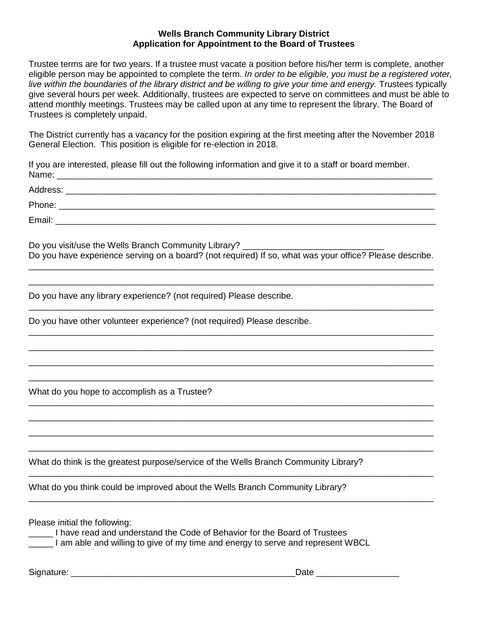## **Wells Branch Community Library District Application for Appointment to the Board of Trustees**

Trustee terms are for two years. If a trustee must vacate a position before his/her term is complete, another eligible person may be appointed to complete the term. *In order to be eligible, you must be a registered voter,*  live within the boundaries of the library district and be willing to give your time and energy. Trustees typically give several hours per week. Additionally, trustees are expected to serve on committees and must be able to attend monthly meetings. Trustees may be called upon at any time to represent the library. The Board of Trustees is completely unpaid.

The District currently has a vacancy for the position expiring at the first meeting after the November 2018 General Election. This position is eligible for re-election in 2018.

If you are interested, please fill out the following information and give it to a staff or board member. Name: \_\_\_\_\_\_\_\_\_\_\_\_\_\_\_\_\_\_\_\_\_\_\_\_\_\_\_\_\_\_\_\_\_\_\_\_\_\_\_\_\_\_\_\_\_\_\_\_\_\_\_\_\_\_\_\_\_\_\_\_\_\_\_\_\_\_\_\_\_\_\_\_\_\_\_\_\_

Address: \_\_\_\_\_\_\_\_\_\_\_\_\_\_\_\_\_\_\_\_\_\_\_\_\_\_\_\_\_\_\_\_\_\_\_\_\_\_\_\_\_\_\_\_\_\_\_\_\_\_\_\_\_\_\_\_\_\_\_\_\_\_\_\_\_\_\_\_\_\_\_\_\_\_\_\_ Phone: \_\_\_\_\_\_\_\_\_\_\_\_\_\_\_\_\_\_\_\_\_\_\_\_\_\_\_\_\_\_\_\_\_\_\_\_\_\_\_\_\_\_\_\_\_\_\_\_\_\_\_\_\_\_\_\_\_\_\_\_\_\_\_\_\_\_\_\_\_\_\_\_\_\_\_\_\_

Email: \_\_\_\_\_\_\_\_\_\_\_\_\_\_\_\_\_\_\_\_\_\_\_\_\_\_\_\_\_\_\_\_\_\_\_\_\_\_\_\_\_\_\_\_\_\_\_\_\_\_\_\_\_\_\_\_\_\_\_\_\_\_\_\_\_\_\_\_\_\_\_\_\_\_\_\_\_\_

Do you visit/use the Wells Branch Community Library? Do you have experience serving on a board? (not required) If so, what was your office? Please describe. \_\_\_\_\_\_\_\_\_\_\_\_\_\_\_\_\_\_\_\_\_\_\_\_\_\_\_\_\_\_\_\_\_\_\_\_\_\_\_\_\_\_\_\_\_\_\_\_\_\_\_\_\_\_\_\_\_\_\_\_\_\_\_\_\_\_\_\_\_\_\_\_\_\_\_\_\_\_\_\_\_\_\_

\_\_\_\_\_\_\_\_\_\_\_\_\_\_\_\_\_\_\_\_\_\_\_\_\_\_\_\_\_\_\_\_\_\_\_\_\_\_\_\_\_\_\_\_\_\_\_\_\_\_\_\_\_\_\_\_\_\_\_\_\_\_\_\_\_\_\_\_\_\_\_\_\_\_\_\_\_\_\_\_\_\_\_

\_\_\_\_\_\_\_\_\_\_\_\_\_\_\_\_\_\_\_\_\_\_\_\_\_\_\_\_\_\_\_\_\_\_\_\_\_\_\_\_\_\_\_\_\_\_\_\_\_\_\_\_\_\_\_\_\_\_\_\_\_\_\_\_\_\_\_\_\_\_\_\_\_\_\_\_\_\_\_\_\_\_\_

\_\_\_\_\_\_\_\_\_\_\_\_\_\_\_\_\_\_\_\_\_\_\_\_\_\_\_\_\_\_\_\_\_\_\_\_\_\_\_\_\_\_\_\_\_\_\_\_\_\_\_\_\_\_\_\_\_\_\_\_\_\_\_\_\_\_\_\_\_\_\_\_\_\_\_\_\_\_\_\_\_\_\_ \_\_\_\_\_\_\_\_\_\_\_\_\_\_\_\_\_\_\_\_\_\_\_\_\_\_\_\_\_\_\_\_\_\_\_\_\_\_\_\_\_\_\_\_\_\_\_\_\_\_\_\_\_\_\_\_\_\_\_\_\_\_\_\_\_\_\_\_\_\_\_\_\_\_\_\_\_\_\_\_\_\_\_ \_\_\_\_\_\_\_\_\_\_\_\_\_\_\_\_\_\_\_\_\_\_\_\_\_\_\_\_\_\_\_\_\_\_\_\_\_\_\_\_\_\_\_\_\_\_\_\_\_\_\_\_\_\_\_\_\_\_\_\_\_\_\_\_\_\_\_\_\_\_\_\_\_\_\_\_\_\_\_\_\_\_\_ \_\_\_\_\_\_\_\_\_\_\_\_\_\_\_\_\_\_\_\_\_\_\_\_\_\_\_\_\_\_\_\_\_\_\_\_\_\_\_\_\_\_\_\_\_\_\_\_\_\_\_\_\_\_\_\_\_\_\_\_\_\_\_\_\_\_\_\_\_\_\_\_\_\_\_\_\_\_\_\_\_\_\_

\_\_\_\_\_\_\_\_\_\_\_\_\_\_\_\_\_\_\_\_\_\_\_\_\_\_\_\_\_\_\_\_\_\_\_\_\_\_\_\_\_\_\_\_\_\_\_\_\_\_\_\_\_\_\_\_\_\_\_\_\_\_\_\_\_\_\_\_\_\_\_\_\_\_\_\_\_\_\_\_\_\_\_ \_\_\_\_\_\_\_\_\_\_\_\_\_\_\_\_\_\_\_\_\_\_\_\_\_\_\_\_\_\_\_\_\_\_\_\_\_\_\_\_\_\_\_\_\_\_\_\_\_\_\_\_\_\_\_\_\_\_\_\_\_\_\_\_\_\_\_\_\_\_\_\_\_\_\_\_\_\_\_\_\_\_\_ \_\_\_\_\_\_\_\_\_\_\_\_\_\_\_\_\_\_\_\_\_\_\_\_\_\_\_\_\_\_\_\_\_\_\_\_\_\_\_\_\_\_\_\_\_\_\_\_\_\_\_\_\_\_\_\_\_\_\_\_\_\_\_\_\_\_\_\_\_\_\_\_\_\_\_\_\_\_\_\_\_\_\_ \_\_\_\_\_\_\_\_\_\_\_\_\_\_\_\_\_\_\_\_\_\_\_\_\_\_\_\_\_\_\_\_\_\_\_\_\_\_\_\_\_\_\_\_\_\_\_\_\_\_\_\_\_\_\_\_\_\_\_\_\_\_\_\_\_\_\_\_\_\_\_\_\_\_\_\_\_\_\_\_\_\_\_

\_\_\_\_\_\_\_\_\_\_\_\_\_\_\_\_\_\_\_\_\_\_\_\_\_\_\_\_\_\_\_\_\_\_\_\_\_\_\_\_\_\_\_\_\_\_\_\_\_\_\_\_\_\_\_\_\_\_\_\_\_\_\_\_\_\_\_\_\_\_\_\_\_\_\_\_\_\_\_\_\_\_\_

\_\_\_\_\_\_\_\_\_\_\_\_\_\_\_\_\_\_\_\_\_\_\_\_\_\_\_\_\_\_\_\_\_\_\_\_\_\_\_\_\_\_\_\_\_\_\_\_\_\_\_\_\_\_\_\_\_\_\_\_\_\_\_\_\_\_\_\_\_\_\_\_\_\_\_\_\_\_\_\_\_\_\_

Do you have any library experience? (not required) Please describe.

Do you have other volunteer experience? (not required) Please describe.

What do you hope to accomplish as a Trustee?

What do think is the greatest purpose/service of the Wells Branch Community Library?

What do you think could be improved about the Wells Branch Community Library?

Please initial the following:

\_\_\_\_\_ I have read and understand the Code of Behavior for the Board of Trustees

**The Land and Solution and set of my time and energy to serve and represent WBCL** 

Signature: \_\_\_\_\_\_\_\_\_\_\_\_\_\_\_\_\_\_\_\_\_\_\_\_\_\_\_\_\_\_\_\_\_\_\_\_\_\_\_\_\_\_\_\_\_\_Date \_\_\_\_\_\_\_\_\_\_\_\_\_\_\_\_\_